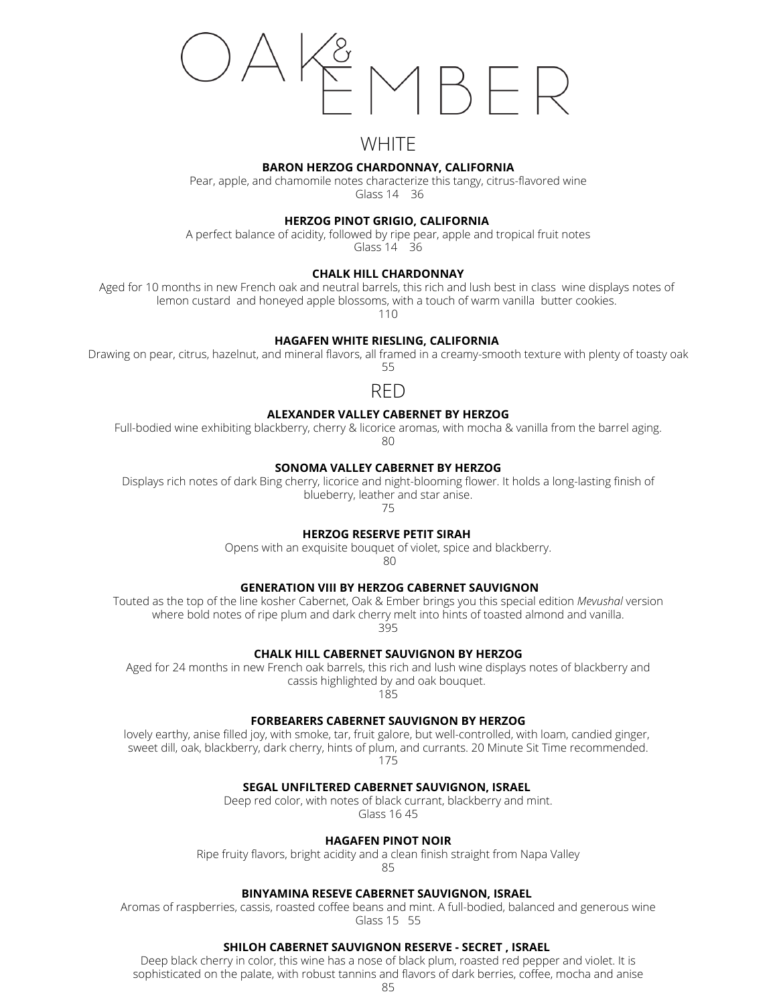# **WHITE**

# **BARON HERZOG CHARDONNAY, CALIFORNIA**

Pear, apple, and chamomile notes characterize this tangy, citrus-flavored wine Glass 14 36

**HERZOG PINOT GRIGIO, CALIFORNIA**

A perfect balance of acidity, followed by ripe pear, apple and tropical fruit notes Glass 14 36

# **CHALK HILL CHARDONNAY**

Aged for 10 months in new French oak and neutral barrels, this rich and lush best in class wine displays notes of lemon custard and honeyed apple blossoms, with a touch of warm vanilla butter cookies.

110

# **HAGAFEN WHITE RIESLING, CALIFORNIA**

Drawing on pear, citrus, hazelnut, and mineral flavors, all framed in a creamy-smooth texture with plenty of toasty oak 55

RED

# **ALEXANDER VALLEY CABERNET BY HERZOG**

Full-bodied wine exhibiting blackberry, cherry & licorice aromas, with mocha & vanilla from the barrel aging.  $80$ 

# **SONOMA VALLEY CABERNET BY HERZOG**

Displays rich notes of dark Bing cherry, licorice and night-blooming flower. It holds a long-lasting finish of blueberry, leather and star anise.

75

# **HERZOG RESERVE PETIT SIRAH**

Opens with an exquisite bouquet of violet, spice and blackberry.

80

# **GENERATION VIII BY HERZOG CABERNET SAUVIGNON**

Touted as the top of the line kosher Cabernet, Oak & Ember brings you this special edition *Mevushal* version where bold notes of ripe plum and dark cherry melt into hints of toasted almond and vanilla. 395

# **CHALK HILL CABERNET SAUVIGNON BY HERZOG**

Aged for 24 months in new French oak barrels, this rich and lush wine displays notes of blackberry and cassis highlighted by and oak bouquet.

185

# **FORBEARERS CABERNET SAUVIGNON BY HERZOG**

lovely earthy, anise filled joy, with smoke, tar, fruit galore, but well-controlled, with loam, candied ginger, sweet dill, oak, blackberry, dark cherry, hints of plum, and currants. 20 Minute Sit Time recommended. 175

# **SEGAL UNFILTERED CABERNET SAUVIGNON, ISRAEL**

Deep red color, with notes of black currant, blackberry and mint. Glass 16 45

# **HAGAFEN PINOT NOIR**

Ripe fruity flavors, bright acidity and a clean finish straight from Napa Valley

85

# **BINYAMINA RESEVE CABERNET SAUVIGNON, ISRAEL**

Aromas of raspberries, cassis, roasted coffee beans and mint. A full-bodied, balanced and generous wine Glass 15 55

# **SHILOH CABERNET SAUVIGNON RESERVE - SECRET , ISRAEL**

Deep black cherry in color, this wine has a nose of black plum, roasted red pepper and violet. It is sophisticated on the palate, with robust tannins and flavors of dark berries, coffee, mocha and anise